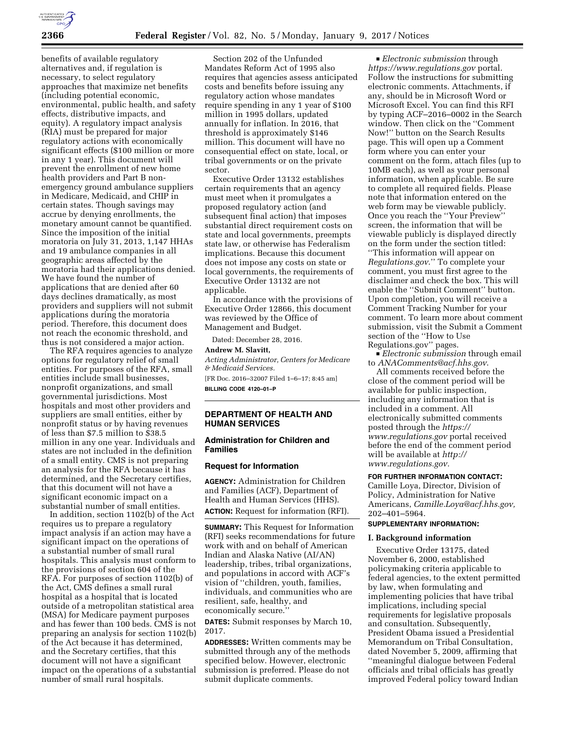

benefits of available regulatory alternatives and, if regulation is necessary, to select regulatory approaches that maximize net benefits (including potential economic, environmental, public health, and safety effects, distributive impacts, and equity). A regulatory impact analysis (RIA) must be prepared for major regulatory actions with economically significant effects (\$100 million or more in any 1 year). This document will prevent the enrollment of new home health providers and Part B nonemergency ground ambulance suppliers in Medicare, Medicaid, and CHIP in certain states. Though savings may accrue by denying enrollments, the monetary amount cannot be quantified. Since the imposition of the initial moratoria on July 31, 2013, 1,147 HHAs and 19 ambulance companies in all geographic areas affected by the moratoria had their applications denied. We have found the number of applications that are denied after 60 days declines dramatically, as most providers and suppliers will not submit applications during the moratoria period. Therefore, this document does not reach the economic threshold, and thus is not considered a major action.

The RFA requires agencies to analyze options for regulatory relief of small entities. For purposes of the RFA, small entities include small businesses, nonprofit organizations, and small governmental jurisdictions. Most hospitals and most other providers and suppliers are small entities, either by nonprofit status or by having revenues of less than \$7.5 million to \$38.5 million in any one year. Individuals and states are not included in the definition of a small entity. CMS is not preparing an analysis for the RFA because it has determined, and the Secretary certifies, that this document will not have a significant economic impact on a substantial number of small entities.

In addition, section 1102(b) of the Act requires us to prepare a regulatory impact analysis if an action may have a significant impact on the operations of a substantial number of small rural hospitals. This analysis must conform to the provisions of section 604 of the RFA. For purposes of section 1102(b) of the Act, CMS defines a small rural hospital as a hospital that is located outside of a metropolitan statistical area (MSA) for Medicare payment purposes and has fewer than 100 beds. CMS is not preparing an analysis for section 1102(b) of the Act because it has determined, and the Secretary certifies, that this document will not have a significant impact on the operations of a substantial number of small rural hospitals.

Section 202 of the Unfunded Mandates Reform Act of 1995 also requires that agencies assess anticipated costs and benefits before issuing any regulatory action whose mandates require spending in any 1 year of \$100 million in 1995 dollars, updated annually for inflation. In 2016, that threshold is approximately \$146 million. This document will have no consequential effect on state, local, or tribal governments or on the private sector.

Executive Order 13132 establishes certain requirements that an agency must meet when it promulgates a proposed regulatory action (and subsequent final action) that imposes substantial direct requirement costs on state and local governments, preempts state law, or otherwise has Federalism implications. Because this document does not impose any costs on state or local governments, the requirements of Executive Order 13132 are not applicable.

In accordance with the provisions of Executive Order 12866, this document was reviewed by the Office of Management and Budget.

Dated: December 28, 2016.

#### **Andrew M. Slavitt,**

*Acting Administrator, Centers for Medicare & Medicaid Services.*  [FR Doc. 2016–32007 Filed 1–6–17; 8:45 am] **BILLING CODE 4120–01–P** 

## **DEPARTMENT OF HEALTH AND HUMAN SERVICES**

## **Administration for Children and Families**

# **Request for Information**

**AGENCY:** Administration for Children and Families (ACF), Department of Health and Human Services (HHS). **ACTION:** Request for information (RFI).

**SUMMARY:** This Request for Information (RFI) seeks recommendations for future work with and on behalf of American Indian and Alaska Native (AI/AN) leadership, tribes, tribal organizations, and populations in accord with ACF's vision of ''children, youth, families, individuals, and communities who are resilient, safe, healthy, and economically secure.''

**DATES:** Submit responses by March 10, 2017.

**ADDRESSES:** Written comments may be submitted through any of the methods specified below. However, electronic submission is preferred. Please do not submit duplicate comments.

D *Electronic submission* through *<https://www.regulations.gov>* portal. Follow the instructions for submitting electronic comments. Attachments, if any, should be in Microsoft Word or Microsoft Excel. You can find this RFI by typing ACF–2016–0002 in the Search window. Then click on the ''Comment Now!'' button on the Search Results page. This will open up a Comment form where you can enter your comment on the form, attach files (up to 10MB each), as well as your personal information, when applicable. Be sure to complete all required fields. Please note that information entered on the web form may be viewable publicly. Once you reach the ''Your Preview'' screen, the information that will be viewable publicly is displayed directly on the form under the section titled: ''This information will appear on *Regulations.gov*.'' To complete your comment, you must first agree to the disclaimer and check the box. This will enable the ''Submit Comment'' button. Upon completion, you will receive a Comment Tracking Number for your comment. To learn more about comment submission, visit the Submit a Comment section of the ''How to Use

Regulations.gov'' pages.

D *Electronic submission* through email to *[ANAComments@acf.hhs.gov](mailto:ANAComments@acf.hhs.gov)*.

All comments received before the close of the comment period will be available for public inspection, including any information that is included in a comment. All electronically submitted comments posted through the *[https://](https://www.regulations.gov) [www.regulations.gov](https://www.regulations.gov)* portal received before the end of the comment period will be available at *[http://](http://www.regulations.gov) [www.regulations.gov.](http://www.regulations.gov)* 

#### **FOR FURTHER INFORMATION CONTACT:**

Camille Loya, Director, Division of Policy, Administration for Native Americans, *[Camille.Loya@acf.hhs.gov,](mailto:Camille.Loya@acf.hhs.gov)*  202–401–5964.

## **SUPPLEMENTARY INFORMATION:**

#### **I. Background information**

Executive Order 13175, dated November 6, 2000, established policymaking criteria applicable to federal agencies, to the extent permitted by law, when formulating and implementing policies that have tribal implications, including special requirements for legislative proposals and consultation. Subsequently, President Obama issued a Presidential Memorandum on Tribal Consultation, dated November 5, 2009, affirming that ''meaningful dialogue between Federal officials and tribal officials has greatly improved Federal policy toward Indian